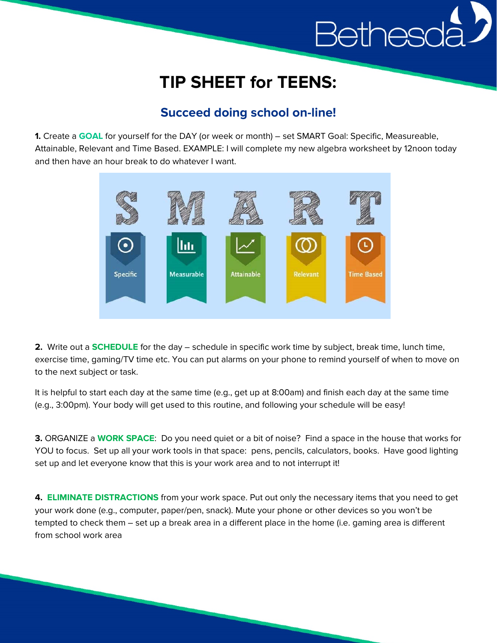## Bethesc

## **TIP SHEET for TEENS:**

## **Succeed doing school on-line!**

**1.** Create a **GOAL** for yourself for the DAY (or week or month) – set SMART Goal: Specific, Measureable, Attainable, Relevant and Time Based. EXAMPLE: I will complete my new algebra worksheet by 12noon today and then have an hour break to do whatever I want.



**2.** Write out a **SCHEDULE** for the day – schedule in specific work time by subject, break time, lunch time, exercise time, gaming/TV time etc. You can put alarms on your phone to remind yourself of when to move on to the next subject or task.

It is helpful to start each day at the same time (e.g., get up at 8:00am) and finish each day at the same time (e.g., 3:00pm). Your body will get used to this routine, and following your schedule will be easy!

**3.** ORGANIZE a **WORK SPACE**: Do you need quiet or a bit of noise? Find a space in the house that works for YOU to focus. Set up all your work tools in that space: pens, pencils, calculators, books. Have good lighting set up and let everyone know that this is your work area and to not interrupt it!

**4. ELIMINATE DISTRACTIONS** from your work space. Put out only the necessary items that you need to get your work done (e.g., computer, paper/pen, snack). Mute your phone or other devices so you won't be tempted to check them – set up a break area in a different place in the home (i.e. gaming area is different from school work area